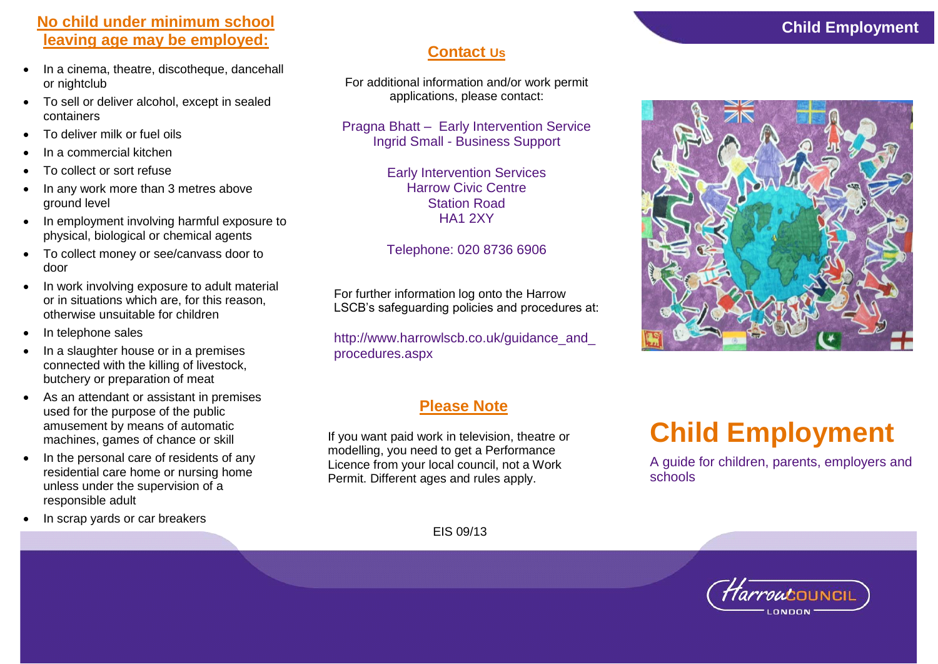# **No child under minimum school leaving age may be employed:**

- In a cinema, theatre, discotheque, dancehall or nightclub
- To sell or deliver alcohol, except in sealed containers
- To deliver milk or fuel oils
- In a commercial kitchen
- To collect or sort refuse
- In any work more than 3 metres above ground level
- In employment involving harmful exposure to physical, biological or chemical agents
- To collect money or see/canvass door to door
- In work involving exposure to adult material or in situations which are, for this reason, otherwise unsuitable for children
- In telephone sales
- In a slaughter house or in a premises connected with the killing of livestock, butchery or preparation of meat
- As an attendant or assistant in premises used for the purpose of the public amusement by means of automatic machines, games of chance or skill
- In the personal care of residents of any residential care home or nursing home unless under the supervision of a responsible adult
- In scrap yards or car breakers

# **Contact Us**

For additional information and/or work permit applications, please contact:

Pragna Bhatt – Early Intervention Service Ingrid Small - Business Support

> Early Intervention Services Harrow Civic Centre Station Road HA1 2XY

## Telephone: 020 8736 6906

For further information log onto the Harrow LSCB's safeguarding policies and procedures at:

http://www.harrowlscb.co.uk/guidance\_and procedures.aspx

# **Please Note**

If you want paid work in television, theatre or modelling, you need to get a Performance Licence from your local council, not a Work Permit. Different ages and rules apply.

# **Child Employment**

A guide for children, parents, employers and schools

EIS 09/13





# **Child Employment**